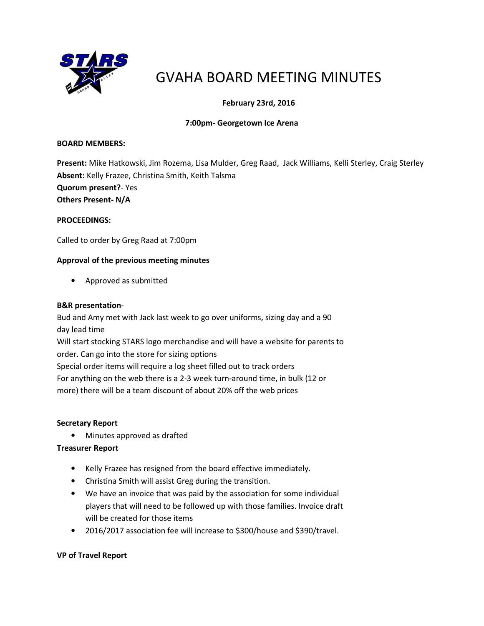

# GVAHA BOARD MEETING MINUTES

# February 23rd, 2016

# 7:00pm- Georgetown Ice Arena

#### BOARD MEMBERS:

Present: Mike Hatkowski, Jim Rozema, Lisa Mulder, Greg Raad, Jack Williams, Kelli Sterley, Craig Sterley Absent: Kelly Frazee, Christina Smith, Keith Talsma Quorum present?- Yes Others Present- N/A

#### PROCEEDINGS:

Called to order by Greg Raad at 7:00pm

#### Approval of the previous meeting minutes

• Approved as submitted

#### B&R presentation-

Bud and Amy met with Jack last week to go over uniforms, sizing day and a 90 day lead time Will start stocking STARS logo merchandise and will have a website for parents to order. Can go into the store for sizing options Special order items will require a log sheet filled out to track orders For anything on the web there is a 2-3 week turn-around time, in bulk (12 or more) there will be a team discount of about 20% off the web prices

# Secretary Report

• Minutes approved as drafted

# Treasurer Report

- Kelly Frazee has resigned from the board effective immediately.
- Christina Smith will assist Greg during the transition.
- We have an invoice that was paid by the association for some individual players that will need to be followed up with those families. Invoice draft will be created for those items
- 2016/2017 association fee will increase to \$300/house and \$390/travel.

# VP of Travel Report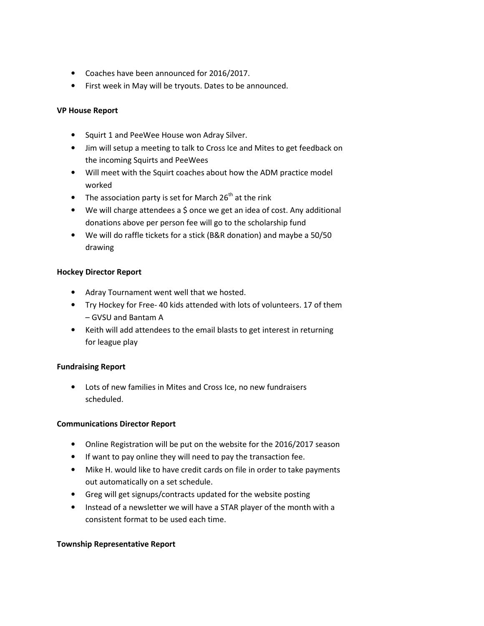- Coaches have been announced for 2016/2017.
- First week in May will be tryouts. Dates to be announced.

# VP House Report

- Squirt 1 and PeeWee House won Adray Silver.
- Jim will setup a meeting to talk to Cross Ice and Mites to get feedback on the incoming Squirts and PeeWees
- Will meet with the Squirt coaches about how the ADM practice model worked
- The association party is set for March  $26<sup>th</sup>$  at the rink
- We will charge attendees a \$ once we get an idea of cost. Any additional donations above per person fee will go to the scholarship fund
- We will do raffle tickets for a stick (B&R donation) and maybe a 50/50 drawing

# Hockey Director Report

- Adray Tournament went well that we hosted.
- Try Hockey for Free- 40 kids attended with lots of volunteers. 17 of them – GVSU and Bantam A
- Keith will add attendees to the email blasts to get interest in returning for league play

# Fundraising Report

• Lots of new families in Mites and Cross Ice, no new fundraisers scheduled.

# Communications Director Report

- Online Registration will be put on the website for the 2016/2017 season
- If want to pay online they will need to pay the transaction fee.
- Mike H. would like to have credit cards on file in order to take payments out automatically on a set schedule.
- Greg will get signups/contracts updated for the website posting
- Instead of a newsletter we will have a STAR player of the month with a consistent format to be used each time.

# Township Representative Report